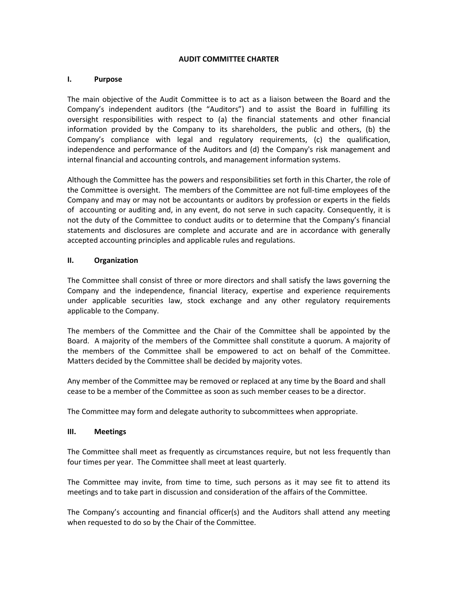# **AUDIT COMMITTEE CHARTER**

### **I. Purpose**

The main objective of the Audit Committee is to act as a liaison between the Board and the Company's independent auditors (the "Auditors") and to assist the Board in fulfilling its oversight responsibilities with respect to (a) the financial statements and other financial information provided by the Company to its shareholders, the public and others, (b) the Company's compliance with legal and regulatory requirements, (c) the qualification, independence and performance of the Auditors and (d) the Company's risk management and internal financial and accounting controls, and management information systems.

Although the Committee has the powers and responsibilities set forth in this Charter, the role of the Committee is oversight. The members of the Committee are not full-time employees of the Company and may or may not be accountants or auditors by profession or experts in the fields of accounting or auditing and, in any event, do not serve in such capacity. Consequently, it is not the duty of the Committee to conduct audits or to determine that the Company's financial statements and disclosures are complete and accurate and are in accordance with generally accepted accounting principles and applicable rules and regulations.

### **II. Organization**

The Committee shall consist of three or more directors and shall satisfy the laws governing the Company and the independence, financial literacy, expertise and experience requirements under applicable securities law, stock exchange and any other regulatory requirements applicable to the Company.

The members of the Committee and the Chair of the Committee shall be appointed by the Board. A majority of the members of the Committee shall constitute a quorum. A majority of the members of the Committee shall be empowered to act on behalf of the Committee. Matters decided by the Committee shall be decided by majority votes.

Any member of the Committee may be removed or replaced at any time by the Board and shall cease to be a member of the Committee as soon as such member ceases to be a director.

The Committee may form and delegate authority to subcommittees when appropriate.

#### **III. Meetings**

The Committee shall meet as frequently as circumstances require, but not less frequently than four times per year. The Committee shall meet at least quarterly.

The Committee may invite, from time to time, such persons as it may see fit to attend its meetings and to take part in discussion and consideration of the affairs of the Committee.

The Company's accounting and financial officer(s) and the Auditors shall attend any meeting when requested to do so by the Chair of the Committee.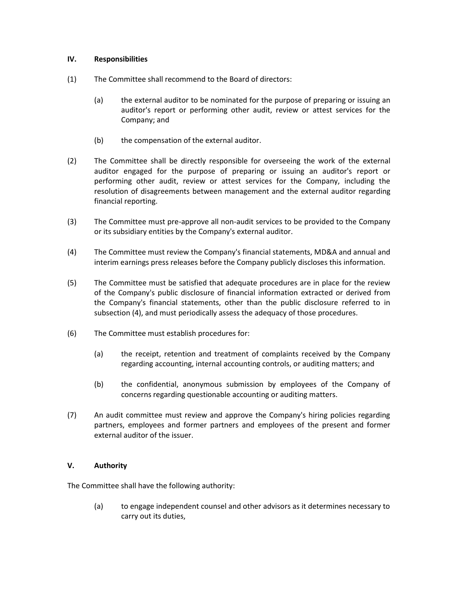# **IV. Responsibilities**

- (1) The Committee shall recommend to the Board of directors:
	- (a) the external auditor to be nominated for the purpose of preparing or issuing an auditor's report or performing other audit, review or attest services for the Company; and
	- (b) the compensation of the external auditor.
- (2) The Committee shall be directly responsible for overseeing the work of the external auditor engaged for the purpose of preparing or issuing an auditor's report or performing other audit, review or attest services for the Company, including the resolution of disagreements between management and the external auditor regarding financial reporting.
- (3) The Committee must pre-approve all non-audit services to be provided to the Company or its subsidiary entities by the Company's external auditor.
- (4) The Committee must review the Company's financial statements, MD&A and annual and interim earnings press releases before the Company publicly discloses this information.
- (5) The Committee must be satisfied that adequate procedures are in place for the review of the Company's public disclosure of financial information extracted or derived from the Company's financial statements, other than the public disclosure referred to in subsection (4), and must periodically assess the adequacy of those procedures.
- (6) The Committee must establish procedures for:
	- (a) the receipt, retention and treatment of complaints received by the Company regarding accounting, internal accounting controls, or auditing matters; and
	- (b) the confidential, anonymous submission by employees of the Company of concerns regarding questionable accounting or auditing matters.
- (7) An audit committee must review and approve the Company's hiring policies regarding partners, employees and former partners and employees of the present and former external auditor of the issuer.

# **V. Authority**

The Committee shall have the following authority:

(a) to engage independent counsel and other advisors as it determines necessary to carry out its duties,